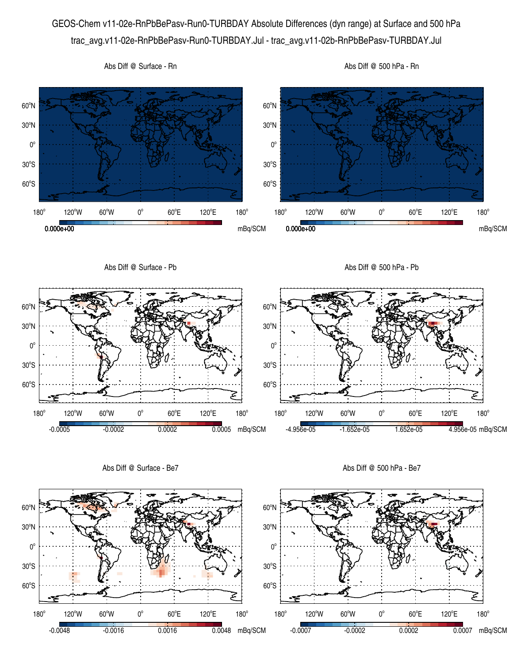GEOS-Chem v11-02e-RnPbBePasv-Run0-TURBDAY Absolute Differences (dyn range) at Surface and 500 hPa trac\_avg.v11-02e-RnPbBePasv-Run0-TURBDAY.Jul - trac\_avg.v11-02b-RnPbBePasv-TURBDAY.Jul



Abs Diff @ Surface - Be7

Abs Diff @ 500 hPa - Be7